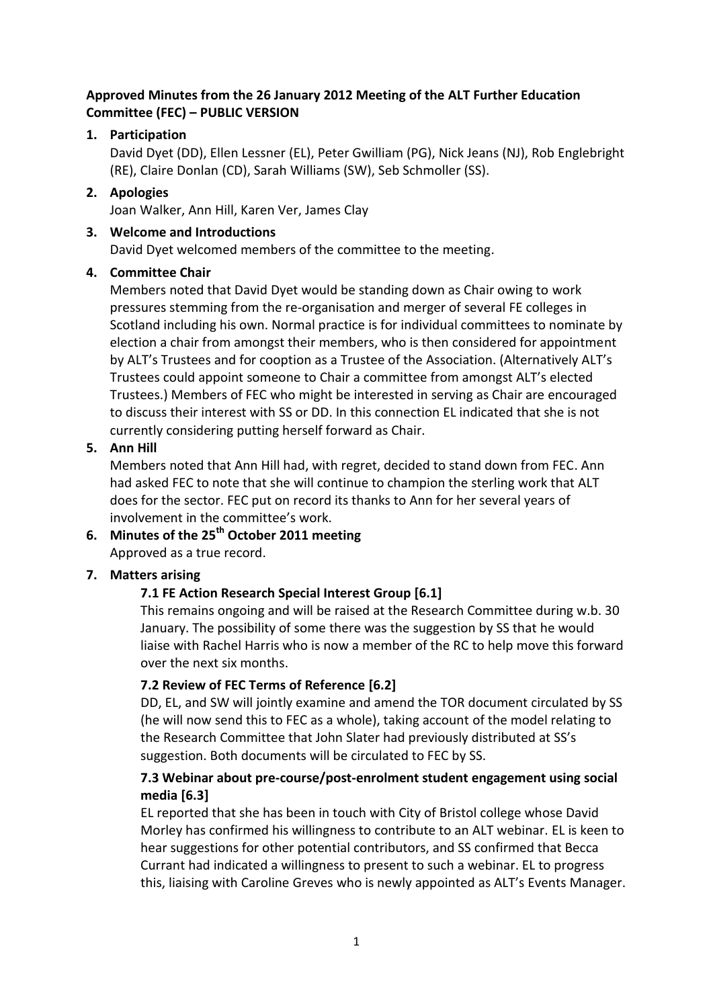## **Approved Minutes from the 26 January 2012 Meeting of the ALT Further Education Committee (FEC) – PUBLIC VERSION**

## **1. Participation**

David Dyet (DD), Ellen Lessner (EL), Peter Gwilliam (PG), Nick Jeans (NJ), Rob Englebright (RE), Claire Donlan (CD), Sarah Williams (SW), Seb Schmoller (SS).

### **2. Apologies**

Joan Walker, Ann Hill, Karen Ver, James Clay

### **3. Welcome and Introductions**

David Dyet welcomed members of the committee to the meeting.

## **4. Committee Chair**

Members noted that David Dyet would be standing down as Chair owing to work pressures stemming from the re-organisation and merger of several FE colleges in Scotland including his own. Normal practice is for individual committees to nominate by election a chair from amongst their members, who is then considered for appointment by ALT's Trustees and for cooption as a Trustee of the Association. (Alternatively ALT's Trustees could appoint someone to Chair a committee from amongst ALT's elected Trustees.) Members of FEC who might be interested in serving as Chair are encouraged to discuss their interest with SS or DD. In this connection EL indicated that she is not currently considering putting herself forward as Chair.

### **5. Ann Hill**

Members noted that Ann Hill had, with regret, decided to stand down from FEC. Ann had asked FEC to note that she will continue to champion the sterling work that ALT does for the sector. FEC put on record its thanks to Ann for her several years of involvement in the committee's work.

# **6. Minutes of the 25th October 2011 meeting** Approved as a true record.

## **7. Matters arising**

## **7.1 FE Action Research Special Interest Group [6.1]**

This remains ongoing and will be raised at the Research Committee during w.b. 30 January. The possibility of some there was the suggestion by SS that he would liaise with Rachel Harris who is now a member of the RC to help move this forward over the next six months.

## **7.2 Review of FEC Terms of Reference [6.2]**

DD, EL, and SW will jointly examine and amend the TOR document circulated by SS (he will now send this to FEC as a whole), taking account of the model relating to the Research Committee that John Slater had previously distributed at SS's suggestion. Both documents will be circulated to FEC by SS.

## **7.3 Webinar about pre-course/post-enrolment student engagement using social media [6.3]**

EL reported that she has been in touch with City of Bristol college whose David Morley has confirmed his willingness to contribute to an ALT webinar. EL is keen to hear suggestions for other potential contributors, and SS confirmed that Becca Currant had indicated a willingness to present to such a webinar. EL to progress this, liaising with Caroline Greves who is newly appointed as ALT's Events Manager.